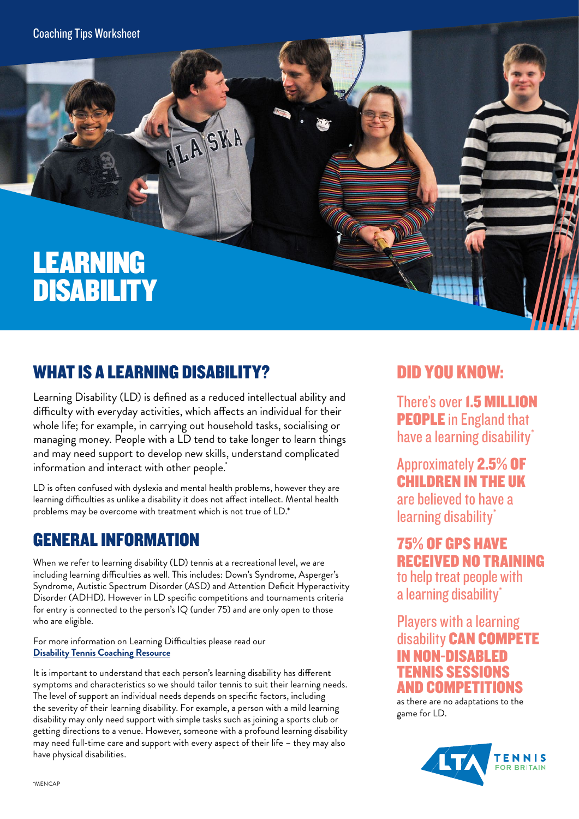Coaching Tips Worksheet

# LEARNING DISABILITY

## WHAT IS A LEARNING DISABILITY?

Learning Disability (LD) is defined as a reduced intellectual ability and difficulty with everyday activities, which affects an individual for their whole life; for example, in carrying out household tasks, socialising or managing money. People with a LD tend to take longer to learn things and may need support to develop new skills, understand complicated information and interact with other people.<sup>\*</sup>

LASKA

LD is often confused with dyslexia and mental health problems, however they are learning difficulties as unlike a disability it does not affect intellect. Mental health problems may be overcome with treatment which is not true of LD.\*

## GENERAL INFORMATION

When we refer to learning disability (LD) tennis at a recreational level, we are including learning difficulties as well. This includes: Down's Syndrome, Asperger's Syndrome, Autistic Spectrum Disorder (ASD) and Attention Deficit Hyperactivity Disorder (ADHD). However in LD specific competitions and tournaments criteria for entry is connected to the person's IQ (under 75) and are only open to those who are eligible.

For more information on Learning Difficulties please read our **[Disability Tennis Coaching Resource](https://www.lta.org.uk/globalassets/venue/open-court/disability-tennis-coaching-resource.pdf)**

It is important to understand that each person's learning disability has different symptoms and characteristics so we should tailor tennis to suit their learning needs. The level of support an individual needs depends on specific factors, including the severity of their learning disability. For example, a person with a mild learning disability may only need support with simple tasks such as joining a sports club or getting directions to a venue. However, someone with a profound learning disability may need full-time care and support with every aspect of their life – they may also have physical disabilities.

#### DID YOU KNOW:

There's over 1.5 MILLION PEOPLE in England that have a learning disability<sup>\*</sup>

Approximately 2.5% OF CHILDREN IN THE UK are believed to have a

learning disability\* 75% OF GPS HAVE RECEIVED NO TRAINING

to help treat people with a learning disability<sup>\*</sup>

#### Players with a learning disability CAN COMPETE **NON-DISABLED** TENNIS SESSIONS AND COMPETITIONS

as there are no adaptations to the game for LD.